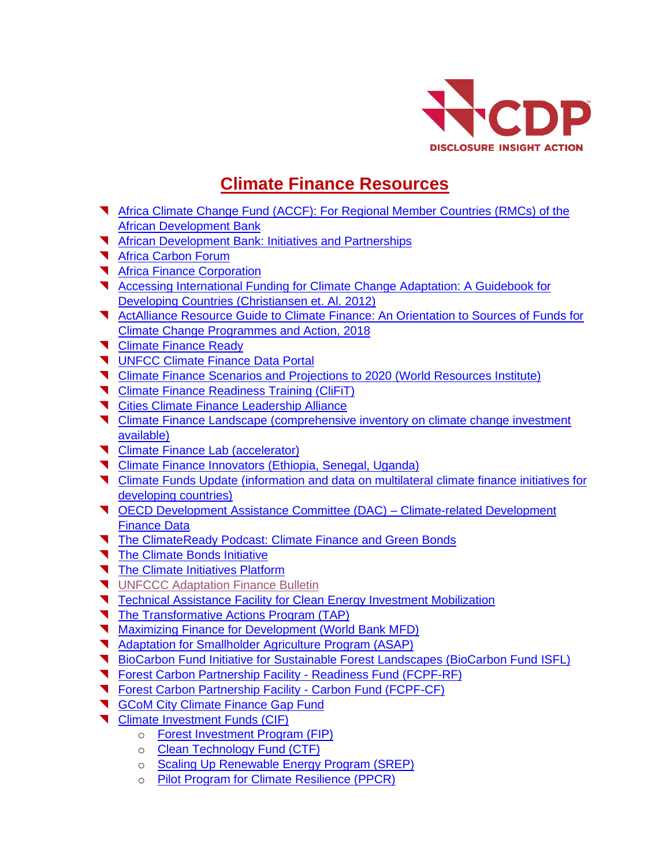

## **Climate Finance Resources**

- [Africa Climate Change Fund \(ACCF\): For Regional Member Countries \(RMCs\) of the](http://ndcpartnership.org/funding-and-initiatives-navigator/africa-climate-change-fund-accf)  [African Development Bank](http://ndcpartnership.org/funding-and-initiatives-navigator/africa-climate-change-fund-accf)
- **T** [African Development Bank: Initiatives and Partnerships](https://www.afdb.org/en/topics-and-sectors/initiatives-partnerships/)
- **K** [Africa Carbon Forum](https://www.africacarbonforum.com/)
- **K** [Africa Finance Corporation](https://www.africafc.org/)
- **T** Accessing International Funding for Climate Change Adaptation: A Guidebook for [Developing Countries \(Christiansen et. Al. 2012\)](https://orbit.dtu.dk/files/20803387/Adaptation_Financing_Guidebook.pdf)
- **T** ActAlliance Resource Guide to Climate Finance: An Orientation to Sources of Funds for [Climate Change Programmes and Action, 2018](https://reliefweb.int/sites/reliefweb.int/files/resources/ENGLISH-quick-guide-climate-finance.pdf)
- **T** [Climate Finance Ready](https://climatefinanceready.org/)
- **V** [UNFCC Climate Finance Data Portal](https://unfccc.int/climatefinance?home)
- [Climate Finance Scenarios and Projections to 2020 \(World Resources Institute\)](https://www.wri.org/publication/getting-100-billion-climate-finance-scenarios-and-projections-2020)
- **T** [Climate Finance Readiness Training \(CliFiT\)](https://clifit.org/)
- **T** [Cities Climate Finance Leadership Alliance](https://www.citiesclimatefinance.org/)
- **T** [Climate Finance Landscape](http://www.climatefinancelandscape.org/) (comprehensive inventory on climate change investment available)
- **T** [Climate Finance Lab](https://www.climatefinancelab.org/) (accelerator)
- **T** [Climate Finance Innovators](https://www.climatefinanceinnovators.com/) (Ethiopia, Senegal, Uganda)
- [Climate Funds Update](https://climatefundsupdate.org/) (information and data on multilateral climate finance initiatives for developing countries)
- [OECD Development Assistance Committee \(DAC\)](../Africa%20Resources/%09https:/public.tableau.com/views/Climate-relateddevelopmentfinance-RP/CRDF-Recipient?:embed=y&:display_count=no&:showVizHome=no#3) Climate-related Development [Finance Data](../Africa%20Resources/%09https:/public.tableau.com/views/Climate-relateddevelopmentfinance-RP/CRDF-Recipient?:embed=y&:display_count=no&:showVizHome=no#3)
- [The ClimateReady Podcast: Climate Finance and Green Bonds](https://soundcloud.com/climatereadypodcast/episode5)
- [The Climate Bonds Initiative](https://www.climatebonds.net/)
- [The Climate Initiatives Platform](http://climateinitiativesplatform.org/index.php/Welcome)
- **V** [UNFCCC Adaptation Finance Bulletin](https://unfccc.int/process-and-meetings/bodies/constituted-bodies/adaptation-committee-ac/publications-bulletin/adaptation-finance-bulletin-by-the-adaptation-committee)
- **T** [Technical Assistance Facility for Clean Energy Investment Mobilization](https://www.climateinvestmentfunds.org/documents/technical-assistance-facility-clean-energy-investment-mobilization)
- [The Transformative Actions Program \(TAP\)](https://tap-potential.org/)
- **Waximizing Finance for Development (World Bank MFD)**
- Adaptation for Smallholder Agriculture Program (ASAP)
- [BioCarbon Fund Initiative for Sustainable Forest Landscapes](https://www.biocarbonfund-isfl.org/) (BioCarbon Fund ISFL)
- [Forest Carbon Partnership Facility -](https://forestcarbonpartnership.org/readiness-fund) Readiness Fund (FCPF-RF)
- [Forest Carbon Partnership Facility -](https://forestcarbonpartnership.org/carbon-fund) Carbon Fund (FCPF-CF)
- **T** [GCoM City Climate Finance Gap Fund](https://www.globalcovenantofmayors.org/press/cities-and-national-governments-partner-on-eur-100m-city-climate-finance-gap-fund/)
- **T** [Climate Investment Funds \(CIF\)](https://www.climateinvestmentfunds.org/)
	- o [Forest Investment Program \(FIP\)](http://ndcpartnership.org/funding-and-initiatives-navigator/forest-investment-program-fip-climate-investment-funds-cifs#:~:targetText=The%20Forest%20Investment%20Program%20(FIP,while%20promoting%20sustainable%20forest%20management.)
	- o [Clean Technology Fund \(CTF\)](https://www.climateinvestmentfunds.org/topics/clean-technologies)
	- o [Scaling Up Renewable Energy Program \(SREP\)](https://www.afdb.org/en/topics-and-sectors/initiatives-partnerships/climate-investment-funds-cif/strategic-climate-fund/scaling-up-renewable-energy-program-in-low-income-countries-srep)
	- o [Pilot Program for Climate Resilience \(PPCR\)](https://www.afdb.org/en/topics-and-sectors/initiatives-partnerships/climate-investment-funds-cif/strategic-climate-fund/pilot-program-for-climate-resilience-ppcr)